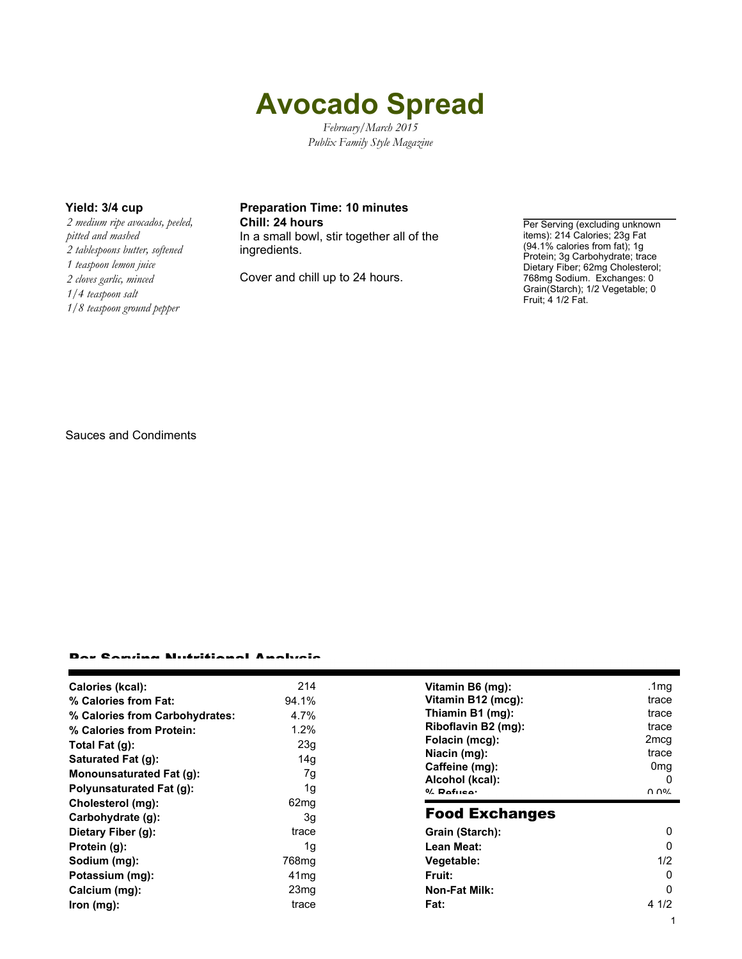# **Avocado Spread**

*February/March 2015 Publix Family Style Magazine*

*2 medium ripe avocados, peeled, pitted and mashed 2 tablespoons butter, softened 1 teaspoon lemon juice 2 cloves garlic, minced 1/4 teaspoon salt 1/8 teaspoon ground pepper*

### **Yield: 3/4 cup Preparation Time: 10 minutes Chill: 24 hours Per Serving (excluding unknown**)

In a small bowl, stir together all of the ingredients.

Cover and chill up to 24 hours.

items): 214 Calories; 23g Fat (94.1% calories from fat); 1g Protein; 3g Carbohydrate; trace Dietary Fiber; 62mg Cholesterol; 768mg Sodium. Exchanges: 0 Grain(Starch); 1/2 Vegetable; 0 Fruit; 4 1/2 Fat.

Sauces and Condiments

#### Per Serving Nutritional Analysis

| Calories (kcal):                | 214               | Vitamin B6 (mg):      | .1 $mg$         |
|---------------------------------|-------------------|-----------------------|-----------------|
| % Calories from Fat:            | 94.1%             | Vitamin B12 (mcg):    | trace           |
| % Calories from Carbohydrates:  | 4.7%              | Thiamin B1 (mg):      | trace           |
| % Calories from Protein:        | $1.2\%$           | Riboflavin B2 (mg):   | trace           |
| Total Fat (g):                  | 23g               | Folacin (mcg):        | 2mcg            |
| Saturated Fat (g):              | 14g               | Niacin (mg):          | trace           |
| <b>Monounsaturated Fat (g):</b> | 7g                | Caffeine (mg):        | 0 <sub>mg</sub> |
|                                 |                   | Alcohol (kcal):       | 0               |
| <b>Polyunsaturated Fat (g):</b> | 1g                | $0/$ Dofuso:          | በ በ%            |
| Cholesterol (mg):               | 62 <sub>mg</sub>  |                       |                 |
| Carbohydrate (g):               | 3g                | <b>Food Exchanges</b> |                 |
| Dietary Fiber (g):              | trace             | Grain (Starch):       | 0               |
| Protein (g):                    | 1g                | Lean Meat:            | 0               |
| Sodium (mg):                    | 768 <sub>mg</sub> | Vegetable:            | 1/2             |
| Potassium (mg):                 | 41 <sub>mq</sub>  | Fruit:                | 0               |
| Calcium (mg):                   | 23 <sub>mg</sub>  | <b>Non-Fat Milk:</b>  | 0               |
| lron (mg):                      | trace             | Fat:                  | 4 1/2           |